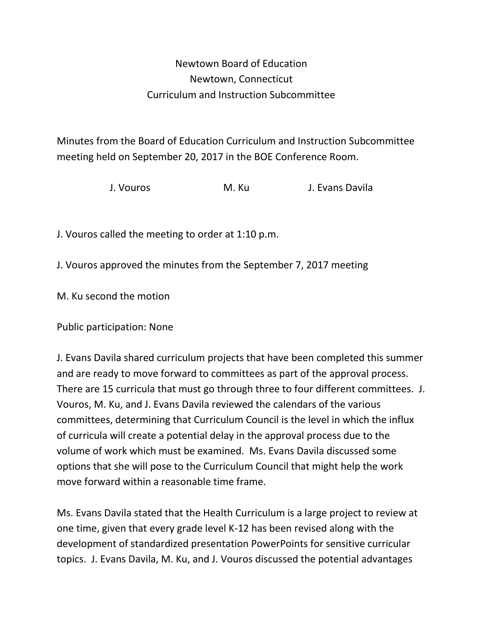## Newtown Board of Education Newtown, Connecticut Curriculum and Instruction Subcommittee

Minutes from the Board of Education Curriculum and Instruction Subcommittee meeting held on September 20, 2017 in the BOE Conference Room.

J. Vouros M. Ku J. Evans Davila

J. Vouros called the meeting to order at 1:10 p.m.

J. Vouros approved the minutes from the September 7, 2017 meeting

M. Ku second the motion

Public participation: None

J. Evans Davila shared curriculum projects that have been completed this summer and are ready to move forward to committees as part of the approval process. There are 15 curricula that must go through three to four different committees. J. Vouros, M. Ku, and J. Evans Davila reviewed the calendars of the various committees, determining that Curriculum Council is the level in which the influx of curricula will create a potential delay in the approval process due to the volume of work which must be examined. Ms. Evans Davila discussed some options that she will pose to the Curriculum Council that might help the work move forward within a reasonable time frame.

Ms. Evans Davila stated that the Health Curriculum is a large project to review at one time, given that every grade level K-12 has been revised along with the development of standardized presentation PowerPoints for sensitive curricular topics. J. Evans Davila, M. Ku, and J. Vouros discussed the potential advantages